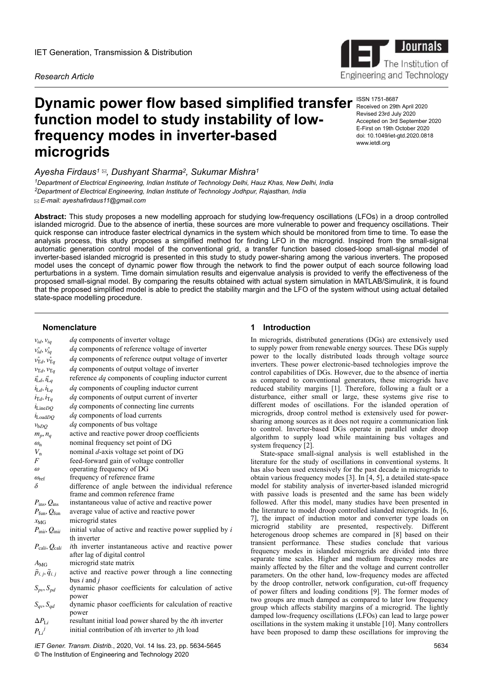*Research Article*

# **Dynamic power flow based simplified transfer ISSN 1751-8687 function model to study instability of lowfrequency modes in inverter-based microgrids** www.ietdl.org

# *Ayesha Firdaus<sup>1</sup> , Dushyant Sharma<sup>2</sup> , Sukumar Mishra<sup>1</sup>*

*<sup>1</sup>Department of Electrical Engineering, Indian Institute of Technology Delhi, Hauz Khas, New Delhi, India <sup>2</sup>Department of Electrical Engineering, Indian Institute of Technology Jodhpur, Rajasthan, India E-mail: ayeshafirdaus11@gmail.com*

**Abstract:** This study proposes a new modelling approach for studying low-frequency oscillations (LFOs) in a droop controlled islanded microgrid. Due to the absence of inertia, these sources are more vulnerable to power and frequency oscillations. Their quick response can introduce faster electrical dynamics in the system which should be monitored from time to time. To ease the analysis process, this study proposes a simplified method for finding LFO in the microgrid. Inspired from the small-signal automatic generation control model of the conventional grid, a transfer function based closed-loop small-signal model of inverter-based islanded microgrid is presented in this study to study power-sharing among the various inverters. The proposed model uses the concept of dynamic power flow through the network to find the power output of each source following load perturbations in a system. Time domain simulation results and eigenvalue analysis is provided to verify the effectiveness of the proposed small-signal model. By comparing the results obtained with actual system simulation in MATLAB/Simulink, it is found that the proposed simplified model is able to predict the stability margin and the LFO of the system without using actual detailed state-space modelling procedure.

#### **Nomenclature**

| $V_{id}$ , $V_{iq}$                       | <i>dq</i> components of inverter voltage                                 |
|-------------------------------------------|--------------------------------------------------------------------------|
| $v_{id}^*, v_{iq}^*$                      | <i>dq</i> components of reference voltage of inverter                    |
| $v_{\mathrm{T}d}^*$ , $v_{\mathrm{T}a}^*$ | dq components of reference output voltage of inverter                    |
| $v_{\text{T}d}$ , $v_{\text{T}q}$         | dq components of output voltage of inverter                              |
| $i_{\mathrm{L}d}^*$ , $i_{\mathrm{L}q}^*$ | reference dq components of coupling inductor current                     |
| $i_{Ld}, i_{Ld}$                          | dq components of coupling inductor current                               |
| $i_{\mathrm{T}d}, i_{\mathrm{T}q}$        | dq components of output current of inverter                              |
| $i_{LineDO}$                              | <i>dq</i> components of connecting line currents                         |
|                                           | dq components of load currents                                           |
| $i_{\text{LoadDO}}$                       | dq components of bus voltage                                             |
| $v_{bDQ}$                                 | active and reactive power droop coefficients                             |
| $m_p, n_q$                                |                                                                          |
| $\omega_{\rm n}$                          | nominal frequency set point of DG                                        |
| $V_{\rm n}$<br>$\overline{F}$             | nominal d-axis voltage set point of DG                                   |
| $\omega$                                  | feed-forward gain of voltage controller<br>operating frequency of DG     |
| $\omega_{\text{ref}}$                     | frequency of reference frame                                             |
| δ                                         | difference of angle between the individual reference                     |
|                                           | frame and common reference frame                                         |
| $P_{\text{ins}}, Q_{\text{ins}}$          | instantaneous value of active and reactive power                         |
| $P_{\text{fun}}, Q_{\text{fun}}$          | average value of active and reactive power                               |
| $x_{\text{MG}}$                           | microgrid states                                                         |
| $P_{\text{inii}}$ , $Q_{\text{inii}}$     | initial value of active and reactive power supplied by $i$               |
|                                           | th inverter                                                              |
| $P_{\text{cali}}, Q_{\text{cali}}$        | ith inverter instantaneous active and reactive power                     |
|                                           | after lag of digital control                                             |
| $A_{\rm MG}$                              | microgrid state matrix                                                   |
| $\tilde{p}_{i,j}, \tilde{q}_{i,j}$        | active and reactive power through a line connecting                      |
|                                           | bus $i$ and $j$                                                          |
| $S_{pv}, S_{pd}$                          | dynamic phasor coefficients for calculation of active                    |
|                                           | power                                                                    |
| $S_{qv}$ , $S_{qd}$                       | dynamic phasor coefficients for calculation of reactive                  |
| $\Delta P_{\text{I}}$                     | power<br>resultant initial load power shared by the <i>i</i> th inverter |
|                                           | initial contribution of <i>i</i> th inverter to <i>j</i> th load         |
| $P_{Li}^{\phantom{Li}j}$                  |                                                                          |

*IET Gener. Transm. Distrib.*, 2020, Vol. 14 Iss. 23, pp. 5634-5645 © The Institution of Engineering and Technology 2020

# **1 Introduction**

In microgrids, distributed generations (DGs) are extensively used to supply power from renewable energy sources. These DGs supply power to the locally distributed loads through voltage source inverters. These power electronic-based technologies improve the control capabilities of DGs. However, due to the absence of inertia as compared to conventional generators, these microgrids have reduced stability margins [1]. Therefore, following a fault or a disturbance, either small or large, these systems give rise to different modes of oscillations. For the islanded operation of microgrids, droop control method is extensively used for powersharing among sources as it does not require a communication link to control. Inverter-based DGs operate in parallel under droop algorithm to supply load while maintaining bus voltages and system frequency [2].

State-space small-signal analysis is well established in the literature for the study of oscillations in conventional systems. It has also been used extensively for the past decade in microgrids to obtain various frequency modes [3]. In [4, 5], a detailed state-space model for stability analysis of inverter-based islanded microgrid with passive loads is presented and the same has been widely followed. After this model, many studies have been presented in the literature to model droop controlled islanded microgrids. In [6, 7], the impact of induction motor and converter type loads on microgrid stability are presented, respectively. Different heterogenous droop schemes are compared in [8] based on their transient performance. These studies conclude that various frequency modes in islanded microgrids are divided into three separate time scales. Higher and medium frequency modes are mainly affected by the filter and the voltage and current controller parameters. On the other hand, low-frequency modes are affected by the droop controller, network configuration, cut-off frequency of power filters and loading conditions [9]. The former modes of two groups are much damped as compared to later low frequency group which affects stability margins of a microgrid. The lightly damped low-frequency oscillations (LFOs) can lead to large power oscillations in the system making it unstable [10]. Many controllers have been proposed to damp these oscillations for improving the

Received on 29th April 2020 Revised 23rd July 2020 Accepted on 3rd September 2020 E-First on 19th October 2020 doi: 10.1049/iet-gtd.2020.0818



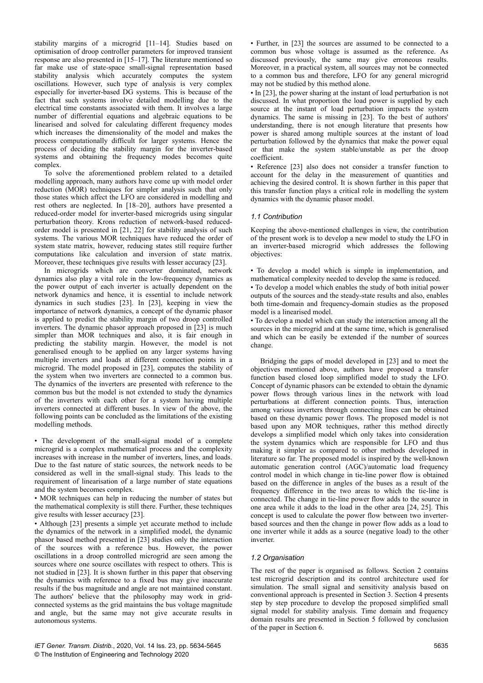stability margins of a microgrid [11–14]. Studies based on optimisation of droop controller parameters for improved transient response are also presented in [15–17]. The literature mentioned so far make use of state-space small-signal representation based stability analysis which accurately computes the system oscillations. However, such type of analysis is very complex especially for inverter-based DG systems. This is because of the fact that such systems involve detailed modelling due to the electrical time constants associated with them. It involves a large number of differential equations and algebraic equations to be linearised and solved for calculating different frequency modes which increases the dimensionality of the model and makes the process computationally difficult for larger systems. Hence the process of deciding the stability margin for the inverter-based systems and obtaining the frequency modes becomes quite complex.

To solve the aforementioned problem related to a detailed modelling approach, many authors have come up with model order reduction (MOR) techniques for simpler analysis such that only those states which affect the LFO are considered in modelling and rest others are neglected. In [18–20], authors have presented a reduced-order model for inverter-based microgrids using singular perturbation theory. Krons reduction of network-based reducedorder model is presented in [21, 22] for stability analysis of such systems. The various MOR techniques have reduced the order of system state matrix, however, reducing states still require further computations like calculation and inversion of state matrix. Moreover, these techniques give results with lesser accuracy [23].

In microgrids which are converter dominated, network dynamics also play a vital role in the low-frequency dynamics as the power output of each inverter is actually dependent on the network dynamics and hence, it is essential to include network dynamics in such studies [23]. In [23], keeping in view the importance of network dynamics, a concept of the dynamic phasor is applied to predict the stability margin of two droop controlled inverters. The dynamic phasor approach proposed in [23] is much simpler than MOR techniques and also, it is fair enough in predicting the stability margin. However, the model is not generalised enough to be applied on any larger systems having multiple inverters and loads at different connection points in a microgrid. The model proposed in [23], computes the stability of the system when two inverters are connected to a common bus. The dynamics of the inverters are presented with reference to the common bus but the model is not extended to study the dynamics of the inverters with each other for a system having multiple inverters connected at different buses. In view of the above, the following points can be concluded as the limitations of the existing modelling methods.

• The development of the small-signal model of a complete microgrid is a complex mathematical process and the complexity increases with increase in the number of inverters, lines, and loads. Due to the fast nature of static sources, the network needs to be considered as well in the small-signal study. This leads to the requirement of linearisation of a large number of state equations and the system becomes complex.

• MOR techniques can help in reducing the number of states but the mathematical complexity is still there. Further, these techniques give results with lesser accuracy [23].

• Although [23] presents a simple yet accurate method to include the dynamics of the network in a simplified model, the dynamic phasor based method presented in [23] studies only the interaction of the sources with a reference bus. However, the power oscillations in a droop controlled microgrid are seen among the sources where one source oscillates with respect to others. This is not studied in [23]. It is shown further in this paper that observing the dynamics with reference to a fixed bus may give inaccurate results if the bus magnitude and angle are not maintained constant. The authors' believe that the philosophy may work in gridconnected systems as the grid maintains the bus voltage magnitude and angle, but the same may not give accurate results in autonomous systems.

• Further, in [23] the sources are assumed to be connected to a common bus whose voltage is assumed as the reference. As discussed previously, the same may give erroneous results. Moreover, in a practical system, all sources may not be connected to a common bus and therefore, LFO for any general microgrid may not be studied by this method alone.

• In [23], the power sharing at the instant of load perturbation is not discussed. In what proportion the load power is supplied by each source at the instant of load perturbation impacts the system dynamics. The same is missing in [23]. To the best of authors' understanding, there is not enough literature that presents how power is shared among multiple sources at the instant of load perturbation followed by the dynamics that make the power equal or that make the system stable/unstable as per the droop coefficient.

• Reference [23] also does not consider a transfer function to account for the delay in the measurement of quantities and achieving the desired control. It is shown further in this paper that this transfer function plays a critical role in modelling the system dynamics with the dynamic phasor model.

## *1.1 Contribution*

Keeping the above-mentioned challenges in view, the contribution of the present work is to develop a new model to study the LFO in an inverter-based microgrid which addresses the following objectives:

• To develop a model which is simple in implementation, and mathematical complexity needed to develop the same is reduced.

• To develop a model which enables the study of both initial power outputs of the sources and the steady-state results and also, enables both time-domain and frequency-domain studies as the proposed model is a linearised model.

• To develop a model which can study the interaction among all the sources in the microgrid and at the same time, which is generalised and which can be easily be extended if the number of sources change.

Bridging the gaps of model developed in [23] and to meet the objectives mentioned above, authors have proposed a transfer function based closed loop simplified model to study the LFO. Concept of dynamic phasors can be extended to obtain the dynamic power flows through various lines in the network with load perturbations at different connection points. Thus, interaction among various inverters through connecting lines can be obtained based on these dynamic power flows. The proposed model is not based upon any MOR techniques, rather this method directly develops a simplified model which only takes into consideration the system dynamics which are responsible for LFO and thus making it simpler as compared to other methods developed in literature so far. The proposed model is inspired by the well-known automatic generation control (AGC)/automatic load frequency control model in which change in tie-line power flow is obtained based on the difference in angles of the buses as a result of the frequency difference in the two areas to which the tie-line is connected. The change in tie-line power flow adds to the source in one area while it adds to the load in the other area [24, 25]. This concept is used to calculate the power flow between two inverterbased sources and then the change in power flow adds as a load to one inverter while it adds as a source (negative load) to the other inverter.

## *1.2 Organisation*

The rest of the paper is organised as follows. Section 2 contains test microgrid description and its control architecture used for simulation. The small signal and sensitivity analysis based on conventional approach is presented in Section 3. Section 4 presents step by step procedure to develop the proposed simplified small signal model for stability analysis. Time domain and frequency domain results are presented in Section 5 followed by conclusion of the paper in Section 6.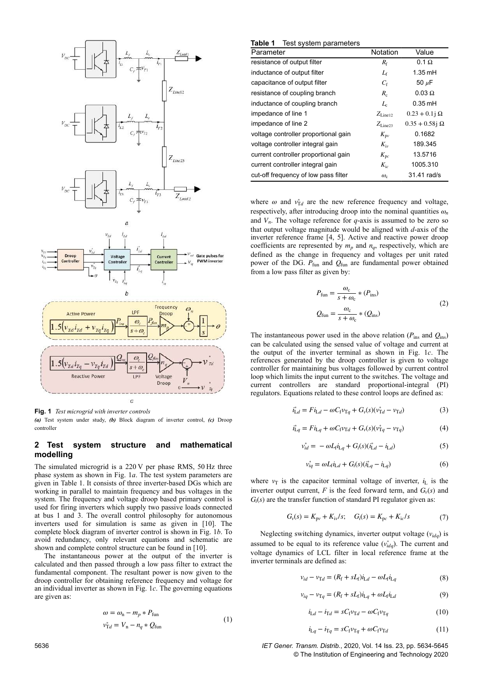

**Fig. 1** *Test microgrid with inverter controls (a)* Test system under study, *(b)* Block diagram of inverter control, *(c)* Droop

## **2 Test system structure and mathematical modelling**

The simulated microgrid is a 220 V per phase RMS, 50 Hz three phase system as shown in Fig. 1*a*. The test system parameters are given in Table 1. It consists of three inverter-based DGs which are working in parallel to maintain frequency and bus voltages in the system. The frequency and voltage droop based primary control is used for firing inverters which supply two passive loads connected at bus 1 and 3. The overall control philosophy for autonomous inverters used for simulation is same as given in [10]. The complete block diagram of inverter control is shown in Fig. 1*b*. To avoid redundancy, only relevant equations and schematic are shown and complete control structure can be found in [10].

The instantaneous power at the output of the inverter is calculated and then passed through a low pass filter to extract the fundamental component. The resultant power is now given to the droop controller for obtaining reference frequency and voltage for an individual inverter as shown in Fig. 1*c*. The governing equations are given as:

$$
\omega = \omega_{\rm n} - m_p * P_{\rm fun}
$$
  
\n
$$
v_{\rm Td}^* = V_{\rm n} - n_q * Q_{\rm fun}
$$
\n(1)

| Table 1 | Test system parameters |  |
|---------|------------------------|--|
|---------|------------------------|--|

| Parameter                            | Notation            | Value                    |
|--------------------------------------|---------------------|--------------------------|
| resistance of output filter          | $R_{\rm f}$         | $0.1 \Omega$             |
| inductance of output filter          | $L_{\rm f}$         | $1.35$ mH                |
| capacitance of output filter         | $C_{\rm f}$         | 50 $\mu$ F               |
| resistance of coupling branch        | $R_c$               | $0.03 \Omega$            |
| inductance of coupling branch        | $L_{\rm c}$         | $0.35$ mH                |
| impedance of line 1                  | $Z_{\text{Line12}}$ | $0.23 + 0.1j \Omega$     |
| impedance of line 2                  | $Z_{\text{Line23}}$ | $0.35 + 0.58$ j $\Omega$ |
| voltage controller proportional gain | $K_{\rm pv}$        | 0.1682                   |
| voltage controller integral gain     | $K_{\rm iv}$        | 189.345                  |
| current controller proportional gain | $K_{\text{pc}}$     | 13.5716                  |
| current controller integral gain     | $K_{i}$             | 1005.310                 |
| cut-off frequency of low pass filter | $\omega_{\rm c}$    | 31.41 rad/s              |

where  $\omega$  and  $v_{\text{Td}}^*$  are the new reference frequency and voltage, respectively, after introducing droop into the nominal quantities  $\omega_n$ and  $V<sub>n</sub>$ . The voltage reference for  $q$ -axis is assumed to be zero so that output voltage magnitude would be aligned with *d*-axis of the inverter reference frame [4, 5]. Active and reactive power droop coefficients are represented by  $m_p$  and  $n_q$ , respectively, which are defined as the change in frequency and voltages per unit rated power of the DG.  $P_{\text{fun}}$  and  $Q_{\text{fun}}$  are fundamental power obtained from a low pass filter as given by:

$$
P_{\text{fun}} = \frac{\omega_{\text{c}}}{s + \omega_{\text{c}}} * (P_{\text{ins}})
$$
  

$$
Q_{\text{fun}} = \frac{\omega_{\text{c}}}{s + \omega_{\text{c}}} * (Q_{\text{ins}})
$$
 (2)

The instantaneous power used in the above relation ( $P_{\text{ins}}$  and  $Q_{\text{ins}}$ ) can be calculated using the sensed value of voltage and current at the output of the inverter terminal as shown in Fig. 1*c*. The references generated by the droop controller is given to voltage controller for maintaining bus voltages followed by current control loop which limits the input current to the switches. The voltage and current controllers are standard proportional-integral (PI) regulators. Equations related to these control loops are defined as:

$$
i_{\text{L}d}^* = Fi_{\text{L}d} - \omega C_f v_{\text{T}q} + G_v(s)(v_{\text{T}d}^* - v_{\text{T}d})
$$
\n(3)

$$
i_{\text{L}q}^* = Fi_{\text{L}q} + \omega C_f v_{\text{T}d} + G_v(s)(v_{\text{T}q}^* - v_{\text{T}q})
$$
(4)

$$
v_{id}^{*} = -\omega L_{f} i_{Lq} + G_{i}(s)(i_{Ld}^{*} - i_{Ld})
$$
\n(5)

$$
v_{iq}^* = \omega L_f i_{Ld} + G_i(s)(i_{Lq}^* - i_{Lq})
$$
\n(6)

where  $v_T$  is the capacitor terminal voltage of inverter,  $i_L$  is the inverter output current,  $F$  is the feed forward term, and  $G<sub>v</sub>(s)$  and  $G_i(s)$  are the transfer function of standard PI regulator given as:

$$
G_{v}(s) = K_{pv} + K_{iv}/s; \quad G_{i}(s) = K_{pc} + K_{ic}/s \tag{7}
$$

Neglecting switching dynamics, inverter output voltage (*vidq*) is assumed to be equal to its reference value  $(v_{idq}^*)$ . The current and voltage dynamics of LCL filter in local reference frame at the inverter terminals are defined as:

$$
v_{id} - v_{Td} = (R_f + sL_f)i_{Ld} - \omega L_f i_{Lq}
$$
 (8)

$$
v_{iq} - v_{Tq} = (R_f + sL_f)i_{Lq} + \omega L_f i_{Ld}
$$
\n(9)

$$
i_{\mathrm{L}d} - i_{\mathrm{T}d} = sC_{\mathrm{f}}v_{\mathrm{T}d} - \omega C_{\mathrm{f}}v_{\mathrm{T}q} \tag{10}
$$

$$
i_{\text{L}q} - i_{\text{T}q} = sC_f v_{\text{T}q} + \omega C_f v_{\text{T}d} \tag{11}
$$

5636 *IET Gener. Transm. Distrib.*, 2020, Vol. 14 Iss. 23, pp. 5634-5645 © The Institution of Engineering and Technology 2020

controller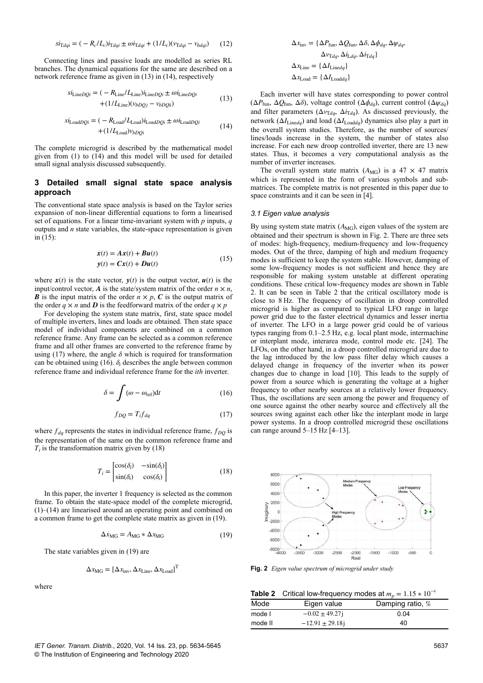$$
si_{\text{Td}qi} = (-R_c/L_c)i_{\text{Td}qi} \pm \omega i_{\text{Td}qi} + (1/L_c)(v_{\text{Td}qi} - v_{bdqi}) \tag{12}
$$

Connecting lines and passive loads are modelled as series RL branches. The dynamical equations for the same are described on a network reference frame as given in (13) in (14), respectively

$$
si_{\text{Line}DQi} = (-R_{\text{Line}}/L_{\text{Line}})i_{\text{Line}DQi} \pm \omega i_{\text{Line}DQi}
$$
  
+(1/L<sub>line</sub>)(v<sub>bDQj</sub> - v<sub>bDQk</sub>) (13)

$$
si_{\text{Load}DQi} = (-R_{\text{Load}}/L_{\text{Load}})i_{\text{Load}DQi} \pm \omega i_{\text{Load}DQi}
$$
  
+(1/L\_{\text{Load}})v\_{bDQi} (14)

The complete microgrid is described by the mathematical model given from (1) to (14) and this model will be used for detailed small signal analysis discussed subsequently.

## **3 Detailed small signal state space analysis approach**

The conventional state space analysis is based on the Taylor series expansion of non-linear differential equations to form a linearised set of equations. For a linear time-invariant system with *p* inputs, *q* outputs and *n* state variables, the state-space representation is given in (15):

$$
\dot{x}(t) = Ax(t) + Bu(t)
$$
  
\n
$$
y(t) = Cx(t) + Du(t)
$$
\n(15)

where  $x(t)$  is the state vector,  $y(t)$  is the output vector,  $u(t)$  is the input/control vector, *A* is the state/system matrix of the order  $n \times n$ , *B* is the input matrix of the order  $n \times p$ , *C* is the output matrix of the order  $q \times n$  and *D* is the feedforward matrix of the order  $q \times p$ 

For developing the system state matrix, first, state space model of multiple inverters, lines and loads are obtained. Then state space model of individual components are combined on a common reference frame. Any frame can be selected as a common reference frame and all other frames are converted to the reference frame by using (17) where, the angle  $\delta$  which is required for transformation can be obtained using (16).  $\delta_i$  describes the angle between common reference frame and individual reference frame for the *ith* inverter.

$$
\delta = \int (\omega - \omega_{\text{ref}}) dt \tag{16}
$$

$$
f_{DQ} = T_i f_{dq} \tag{17}
$$

where  $f_{dq}$  represents the states in individual reference frame,  $f_{DQ}$  is the representation of the same on the common reference frame and  $T_i$  is the transformation matrix given by (18)

$$
T_i = \begin{bmatrix} \cos(\delta_i) & -\sin(\delta_i) \\ \sin(\delta_i) & \cos(\delta_i) \end{bmatrix}
$$
 (18)

In this paper, the inverter 1 frequency is selected as the common frame. To obtain the state-space model of the complete microgrid, (1)–(14) are linearised around an operating point and combined on a common frame to get the complete state matrix as given in (19).

$$
\Delta \dot{x}_{\text{MG}} = A_{\text{MG}} * \Delta x_{\text{MG}} \tag{19}
$$

The state variables given in (19) are

$$
\Delta x_{\text{MG}} = [\Delta x_{\text{inv}}, \Delta x_{\text{Line}}, \Delta x_{\text{Load}}]^{\text{T}}
$$

where

$$
\Delta x_{\text{inv}} = \{ \Delta P_{\text{fun}}, \Delta Q_{\text{fun}}, \Delta \delta, \Delta \phi_{dq}, \Delta \psi_{dq},
$$

$$
\Delta v_{\text{T}dq}, \Delta i_{\text{L}dq}, \Delta i_{\text{T}dq} \}
$$

$$
\Delta x_{\text{Line}} = \{ \Delta I_{\text{Line}dq} \}
$$

$$
\Delta x_{\text{Load}} = \{ \Delta I_{\text{Load}dq} \}
$$

Each inverter will have states corresponding to power control ( $\Delta P$ <sub>fun</sub>,  $\Delta Q$ <sub>fun</sub>,  $\Delta \delta$ ), voltage control ( $\Delta \phi$ *d<sub>d</sub>*), current control ( $\Delta \psi$ *da*) and filter parameters ( $\Delta v_{\text{T}dq}$ ,  $\Delta i_{\text{T}dq}$ ). As discussed previously, the network ( $\Delta I_{\text{Lineda}}$ ) and load ( $\Delta I_{\text{Loadda}}$ ) dynamics also play a part in the overall system studies. Therefore, as the number of sources/ lines/loads increase in the system, the number of states also increase. For each new droop controlled inverter, there are 13 new states. Thus, it becomes a very computational analysis as the number of inverter increases.

The overall system state matrix  $(A_{MG})$  is a 47  $\times$  47 matrix which is represented in the form of various symbols and submatrices. The complete matrix is not presented in this paper due to space constraints and it can be seen in [4].

#### *3.1 Eigen value analysis*

By using system state matrix  $(A_{MG})$ , eigen values of the system are obtained and their spectrum is shown in Fig. 2. There are three sets of modes: high-frequency, medium-frequency and low-frequency modes. Out of the three, damping of high and medium frequency modes is sufficient to keep the system stable. However, damping of some low-frequency modes is not sufficient and hence they are responsible for making system unstable at different operating conditions. These critical low-frequency modes are shown in Table 2. It can be seen in Table 2 that the critical oscillatory mode is close to 8 Hz. The frequency of oscillation in droop controlled microgrid is higher as compared to typical LFO range in large power grid due to the faster electrical dynamics and lesser inertia of inverter. The LFO in a large power grid could be of various types ranging from 0.1–2.5 Hz, e.g. local plant mode, intermachine or interplant mode, interarea mode, control mode etc. [24]. The LFOs, on the other hand, in a droop controlled microgrid are due to the lag introduced by the low pass filter delay which causes a delayed change in frequency of the inverter when its power changes due to change in load [10]. This leads to the supply of power from a source which is generating the voltage at a higher frequency to other nearby sources at a relatively lower frequency. Thus, the oscillations are seen among the power and frequency of one source against the other nearby source and effectively all the sources swing against each other like the interplant mode in large power systems. In a droop controlled microgrid these oscillations can range around  $5-15$  Hz  $[4-13]$ .



**Fig. 2** *Eigen value spectrum of microgrid under study*

**Table 2** Critical low-frequency modes at  $m_p = 1.15 * 10^{-4}$ 

| Mode    | Eigen value          | Damping ratio, % |
|---------|----------------------|------------------|
| mode l  | $-0.02 \pm 49.27$ j  | 0.04             |
| mode II | $-12.91 \pm 29.18$ j | 40               |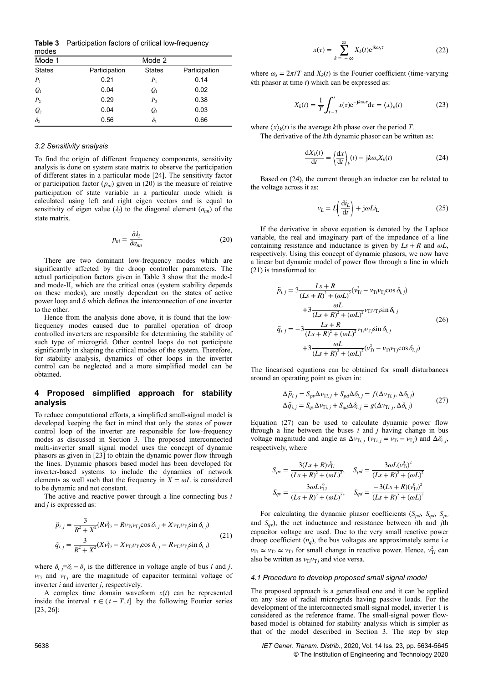**Table 3** Participation factors of critical low-frequency

| modes           |               |               |               |
|-----------------|---------------|---------------|---------------|
| Mode 1          |               | Mode 2        |               |
| <b>States</b>   | Participation | <b>States</b> | Participation |
| $P_1$           | 0.21          | $P_1$         | 0.14          |
| $Q_{1}$         | 0.04          | $Q_{1}$       | 0.02          |
| P <sub>2</sub>  | 0.29          | $P_{3}$       | 0.38          |
| $\mathcal{Q}_2$ | 0.04          | Q,            | 0.03          |
| $\delta_2$      | 0.56          | $\delta_{3}$  | 0.66          |

#### *3.2 Sensitivity analysis*

To find the origin of different frequency components, sensitivity analysis is done on system state matrix to observe the participation of different states in a particular mode [24]. The sensitivity factor or participation factor  $(p_{ni})$  given in (20) is the measure of relative participation of state variable in a particular mode which is calculated using left and right eigen vectors and is equal to sensitivity of eigen value  $(\lambda_i)$  to the diagonal element  $(a_{nn})$  of the state matrix.

$$
p_{ni} = \frac{\partial \lambda_i}{\partial a_{nn}} \tag{20}
$$

There are two dominant low-frequency modes which are significantly affected by the droop controller parameters. The actual participation factors given in Table 3 show that the mode-I and mode-II, which are the critical ones (system stability depends on these modes), are mostly dependent on the states of active power loop and  $\delta$  which defines the interconnection of one inverter to the other.

Hence from the analysis done above, it is found that the lowfrequency modes caused due to parallel operation of droop controlled inverters are responsible for determining the stability of such type of microgrid. Other control loops do not participate significantly in shaping the critical modes of the system. Therefore, for stability analysis, dynamics of other loops in the inverter control can be neglected and a more simplified model can be obtained.

## **4 Proposed simplified approach for stability analysis**

To reduce computational efforts, a simplified small-signal model is developed keeping the fact in mind that only the states of power control loop of the inverter are responsible for low-frequency modes as discussed in Section 3. The proposed interconnected multi-inverter small signal model uses the concept of dynamic phasors as given in [23] to obtain the dynamic power flow through the lines. Dynamic phasors based model has been developed for inverter-based systems to include the dynamics of network elements as well such that the frequency in  $X = \omega L$  is considered to be dynamic and not constant.

The active and reactive power through a line connecting bus *i* and *j* is expressed as:

$$
\tilde{p}_{i,j} = \frac{3}{R^2 + X^2} (Rv_{Ti}^2 - Rv_{Ti}v_{Tj} \cos \delta_{i,j} + Xv_{Ti}v_{Tj} \sin \delta_{i,j})
$$
\n
$$
\tilde{q}_{i,j} = \frac{3}{R^2 + X^2} (Xv_{Ti}^2 - Xv_{Ti}v_{Tj} \cos \delta_{i,j} - Rv_{Ti}v_{Tj} \sin \delta_{i,j})
$$
\n(21)

where  $\delta_{i,j} = \delta_i - \delta_j$  is the difference in voltage angle of bus *i* and *j*.  $v_{\text{T}i}$  and  $v_{\text{T}j}$  are the magnitude of capacitor terminal voltage of inverter *i* and inverter *j*, respectively.

A complex time domain waveform  $x(t)$  can be represented inside the interval  $\tau \in (t - T, t]$  by the following Fourier series [23, 26]:

$$
x(\tau) = \sum_{k=-\infty}^{\infty} X_k(t) e^{jk\omega_s \tau}
$$
 (22)

where  $\omega_s = 2\pi/T$  and  $X_k(t)$  is the Fourier coefficient (time-varying *k*th phasor at time *t*) which can be expressed as:

$$
X_k(t) = \frac{1}{T} \int_{t-T}^t x(\tau) e^{-jk\omega_s \tau} d\tau = \langle x \rangle_k(t)
$$
 (23)

where  $\langle x \rangle_k(t)$  is the average *k*<sup>th</sup> phase over the period *T*.

The derivative of the *k*th dynamic phasor can be written as:

$$
\frac{dX_k(t)}{dt} = \left(\frac{dx}{dt}\right)_k(t) - jk\omega_s X_k(t)
$$
\n(24)

Based on (24), the current through an inductor can be related to the voltage across it as:

$$
v_L = L \left(\frac{di_L}{dt}\right) + j\omega L i_L \tag{25}
$$

If the derivative in above equation is denoted by the Laplace variable, the real and imaginary part of the impedance of a line containing resistance and inductance is given by  $Ls + R$  and  $\omega L$ , respectively. Using this concept of dynamic phasors, we now have a linear but dynamic model of power flow through a line in which (21) is transformed to:

$$
\tilde{p}_{i,j} = 3 \frac{Ls + R}{(Ls + R)^2 + (\omega L)^2} (\nu_{Ti}^2 - \nu_{Ti} \nu_{Tj} \cos \delta_{i,j}) + 3 \frac{\omega L}{(Ls + R)^2 + (\omega L)^2} \nu_{Ti} \nu_{Tj} \sin \delta_{i,j} \n\tilde{q}_{i,j} = -3 \frac{Ls + R}{(Ls + R)^2 + (\omega L)^2} \nu_{Ti} \nu_{Tj} \sin \delta_{i,j} \n+3 \frac{\omega L}{(Ls + R)^2 + (\omega L)^2} (\nu_{Ti}^2 - \nu_{Ti} \nu_{Tj} \cos \delta_{i,j})
$$
\n(26)

The linearised equations can be obtained for small disturbances around an operating point as given in:

$$
\Delta \tilde{p}_{i,j} = S_{pv} \Delta v_{\text{Ti},j} + S_{pd} \Delta \delta_{i,j} = f(\Delta v_{\text{Ti},j}, \Delta \delta_{i,j})
$$
  

$$
\Delta \tilde{q}_{i,j} = S_{qv} \Delta v_{\text{Ti},j} + S_{qd} \Delta \delta_{i,j} = g(\Delta v_{\text{Ti},j}, \Delta \delta_{i,j})
$$
(27)

Equation (27) can be used to calculate dynamic power flow through a line between the buses *i* and *j* having change in bus voltage magnitude and angle as  $\Delta v_{Ti,j}$  ( $v_{Ti,j} = v_{Ti} - v_{Tj}$ ) and  $\Delta \delta_{i,j}$ , respectively, where

$$
S_{pv} = \frac{3(Ls + R)v_{Ti}^0}{(Ls + R)^2 + (\omega L)^2}, \quad S_{pd} = \frac{3\omega L(v_{Ti}^0)^2}{(Ls + R)^2 + (\omega L)^2}
$$

$$
S_{qv} = \frac{3\omega Lv_{Ti}^0}{(Ls + R)^2 + (\omega L)^2}, \quad S_{qd} = \frac{-3(Ls + R)(v_{Ti}^0)^2}{(Ls + R)^2 + (\omega L)^2}
$$

For calculating the dynamic phasor coefficients  $(S_{pd}, S_{qd}, S_{pv})$ and *Sqv*), the net inductance and resistance between *i*th and *j*th capacitor voltage are used. Due to the very small reactive power droop coefficient  $(n_q)$ , the bus voltages are approximately same i.e.  $v_{\text{T1}} \simeq v_{\text{T2}} \simeq v_{\text{T3}}$  for small change in reactive power. Hence,  $v_{\text{T}i}^2$  can also be written as  $v_{\text{Ti}}v_{\text{T}j}$  and vice versa.

#### *4.1 Procedure to develop proposed small signal model*

The proposed approach is a generalised one and it can be applied on any size of radial microgrids having passive loads. For the development of the interconnected small-signal model, inverter 1 is considered as the reference frame. The small-signal power flowbased model is obtained for stability analysis which is simpler as that of the model described in Section 3. The step by step

5638 *IET Gener. Transm. Distrib.*, 2020, Vol. 14 Iss. 23, pp. 5634-5645 © The Institution of Engineering and Technology 2020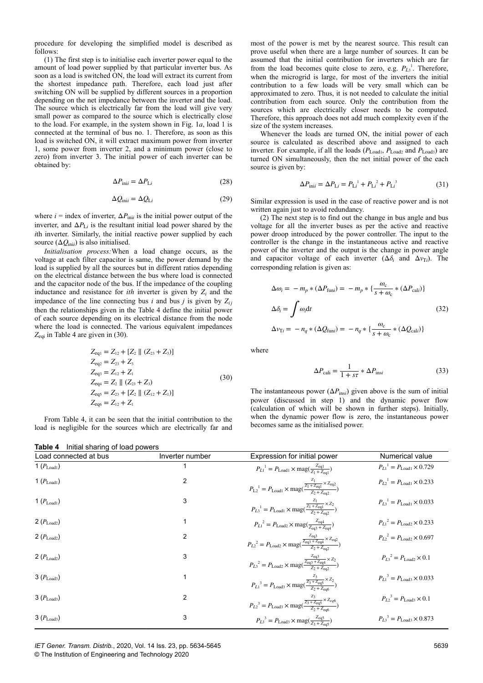procedure for developing the simplified model is described as follows:

(1) The first step is to initialise each inverter power equal to the amount of load power supplied by that particular inverter bus. As soon as a load is switched ON, the load will extract its current from the shortest impedance path. Therefore, each load just after switching ON will be supplied by different sources in a proportion depending on the net impedance between the inverter and the load. The source which is electrically far from the load will give very small power as compared to the source which is electrically close to the load. For example, in the system shown in Fig. 1*a*, load 1 is connected at the terminal of bus no. 1. Therefore, as soon as this load is switched ON, it will extract maximum power from inverter 1, some power from inverter 2, and a minimum power (close to zero) from inverter 3. The initial power of each inverter can be obtained by:

$$
\Delta P_{\text{in}i} = \Delta P_{\text{L}i} \tag{28}
$$

$$
\Delta Q_{\text{in}i} = \Delta Q_{\text{L}i} \tag{29}
$$

where  $i = \text{index of inverter, } \Delta P_{\text{init}}$  is the initial power output of the inverter, and  $\Delta P_{Li}$  is the resultant initial load power shared by the *i*th inverter. Similarly, the initial reactive power supplied by each source  $(\Delta Q_{\text{ini}})$  is also initialised.

*Initialisation process:*When a load change occurs, as the voltage at each filter capacitor is same, the power demand by the load is supplied by all the sources but in different ratios depending on the electrical distance between the bus where load is connected and the capacitor node of the bus. If the impedance of the coupling inductance and resistance for *ith* inverter is given by  $Z_i$  and the impedance of the line connecting bus *i* and bus *j* is given by  $Z_{ii}$ then the relationships given in the Table 4 define the initial power of each source depending on its electrical distance from the node where the load is connected. The various equivalent impedances *Z*eqi in Table 4 are given in (30).

$$
Z_{eq1} = Z_{12} + [Z_2 || (Z_{23} + Z_3)]
$$
  
\n
$$
Z_{eq2} = Z_{23} + Z_3
$$
  
\n
$$
Z_{eq3} = Z_{12} + Z_1
$$
  
\n
$$
Z_{eq4} = Z_2 || (Z_{23} + Z_3)
$$
  
\n
$$
Z_{eq5} = Z_{23} + [Z_2 || (Z_{12} + Z_1)]
$$
  
\n
$$
Z_{eq6} = Z_{12} + Z_1
$$
\n(30)

From Table 4, it can be seen that the initial contribution to the load is negligible for the sources which are electrically far and most of the power is met by the nearest source. This result can prove useful when there are a large number of sources. It can be assumed that the initial contribution for inverters which are far from the load becomes quite close to zero, e.g.  $P_{L_3}$ <sup>1</sup>. Therefore, when the microgrid is large, for most of the inverters the initial contribution to a few loads will be very small which can be approximated to zero. Thus, it is not needed to calculate the initial contribution from each source. Only the contribution from the sources which are electrically closer needs to be computed. Therefore, this approach does not add much complexity even if the size of the system increases.

Whenever the loads are turned ON, the initial power of each source is calculated as described above and assigned to each inverter. For example, if all the loads ( $P_{\text{Load1}}$ ,  $P_{\text{Load2}}$  and  $P_{\text{Load3}}$ ) are turned ON simultaneously, then the net initial power of the each source is given by:

$$
\Delta P_{\text{ini}} = \Delta P_{\text{L}i} = P_{\text{L}i}^{1} + P_{\text{L}i}^{2} + P_{\text{L}i}^{3} \tag{31}
$$

Similar expression is used in the case of reactive power and is not written again just to avoid redundancy.

(2) The next step is to find out the change in bus angle and bus voltage for all the inverter buses as per the active and reactive power droop introduced by the power controller. The input to the controller is the change in the instantaneous active and reactive power of the inverter and the output is the change in power angle and capacitor voltage of each inverter  $(\Delta \delta_i$  and  $\Delta v_{\text{Ti}})$ . The corresponding relation is given as:

$$
\Delta \omega_i = -m_p * (\Delta P_{\text{fun}i}) = -m_p * \left\{ \frac{\omega_c}{s + \omega_c} * (\Delta P_{\text{cal}i}) \right\}
$$
  

$$
\Delta \delta_i = \int \omega_i \text{d}t \qquad (32)
$$
  

$$
\Delta v_{\text{Ti}} = -n_q * (\Delta Q_{\text{fun}i}) = -n_q * \left\{ \frac{\omega_c}{s + \omega_c} * (\Delta Q_{\text{cal}i}) \right\}
$$

where

$$
\Delta P_{\text{cali}} = \frac{1}{1 + s\tau} * \Delta P_{\text{ins}i}
$$
\n(33)

The instantaneous power  $(\Delta P_{\text{ins}i})$  given above is the sum of initial power (discussed in step 1) and the dynamic power flow (calculation of which will be shown in further steps). Initially, when the dynamic power flow is zero, the instantaneous power becomes same as the initialised power.

| Table 4<br>Initial sharing of load powers |                 |                                                                                                                                                                       |                                               |  |
|-------------------------------------------|-----------------|-----------------------------------------------------------------------------------------------------------------------------------------------------------------------|-----------------------------------------------|--|
| Load connected at bus                     | Inverter number | Expression for initial power                                                                                                                                          | Numerical value                               |  |
| 1 $(P_{\text{Load}1})$                    |                 | $P_{L1}^{1} = P_{\text{Load1}} \times \text{mag}(\frac{Z_{\text{eq1}}}{Z_1 + Z_{\text{eq}}})$                                                                         | $P_{L1}^{1} = P_{Load1} \times 0.729$         |  |
| 1 $(P_{\text{Load}1})$                    | $\overline{c}$  | $P_{L2}^{-1} = P_{\text{Load1}} \times \text{mag}(\frac{\frac{Z_1}{Z_1 + Z_{\text{eq1}}} \times Z_{\text{eq2}}}{Z_2 + Z_{\text{eq2}}})$                               | $P_{L2}^{1} = P_{Load1} \times 0.233$         |  |
| 1 $(P_{\text{Load}1})$                    | 3               | $P_{L3}^{-1} = P_{\text{Load1}} \times \text{mag}(\frac{\frac{L_1}{Z_1 + Z_{\text{eq1}}} \times Z_2}{Z_2 + Z_{\text{eq}}})$                                           | $P_{L3}^{1} = P_{Load1} \times 0.033$         |  |
| $2(P_{\text{Load2}})$                     |                 | ${P_{L1}}^2 = P_{\text{Load2}} \times \text{mag}(\frac{Z_{\text{eq4}}}{Z_{\text{eq3}} + Z_{\text{eq4}}})$                                                             | $P_{L1}^2 = P_{Load2} \times 0.233$           |  |
| $2(P_{Load2})$                            | $\overline{2}$  | $P_{L2}^{2} = P_{\text{Load2}} \times \text{mag}(\frac{\overline{z_{\text{eq3}}} + \overline{z_{\text{eq4}}}}{\overline{z_{\text{eq}}} + \overline{z_{\text{eq2}}}})$ | $P_{L2}^2 = P_{Load2} \times 0.697$           |  |
| 2 $(P_{\text{Load2}})$                    | 3               | $P_{L3}^{2} = P_{\text{Load2}} \times \text{mag}(\frac{\frac{Z_{\text{eq3}}}{Z_{\text{eq3}} + Z_{\text{eq4}}}}{\frac{Z_{\text{eq3}}}{Z_{2} + Z_{\text{eq2}}}})$       | $P_{I3}^2 = P_{\text{Load2}} \times 0.1$      |  |
| $3(P_{\text{Load3}})$                     |                 | $P_{L1}^{3} = P_{\text{Load3}} \times \text{mag}(\frac{\frac{L_{3}}{Z_{3} + Z_{\text{eq5}}} \times Z_{2}}{\frac{Z_{2} + Z_{\text{eq5}}}{Z_{2} + Z_{\text{eq6}}}})$    | $P_{L1}^{3} = P_{Load3} \times 0.033$         |  |
| $3(P_{\text{Load3}})$                     | 2               | $P_{L2}^{3} = P_{\text{Load3}} \times \text{mag}(\frac{\frac{23}{Z_3 + Z_{\text{eq5}}} \times Z_{eq6}}{\frac{Z_2 + Z_{\text{eq6}}}{Z_2 + Z_{\text{eq6}}}})$           | $P_{L2}^{3} = P_{\text{Load3}} \times 0.1$    |  |
| $3(P_{\text{Load3}})$                     | 3               | $P_{L3}^{3} = P_{\text{Load3}} \times \text{mag}(\frac{Z_{\text{eq5}}}{Z_2 + Z_{\text{eq5}}})$                                                                        | $P_{I3}^{3} = P_{I, \text{odd}} \times 0.873$ |  |

*IET Gener. Transm. Distrib.*, 2020, Vol. 14 Iss. 23, pp. 5634-5645 © The Institution of Engineering and Technology 2020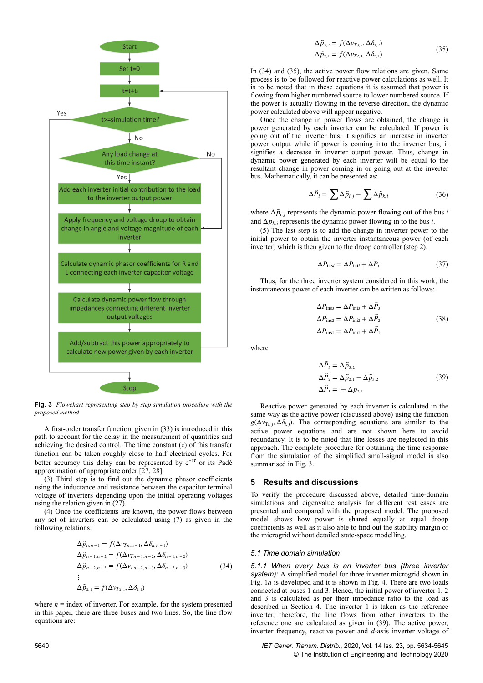

**Fig. 3** *Flowchart representing step by step simulation procedure with the proposed method*

A first-order transfer function, given in (33) is introduced in this path to account for the delay in the measurement of quantities and achieving the desired control. The time constant  $(τ)$  of this transfer function can be taken roughly close to half electrical cycles. For better accuracy this delay can be represented by e <sup>−</sup>*sτ* or its Padé approximation of appropriate order [27, 28].

(3) Third step is to find out the dynamic phasor coefficients using the inductance and resistance between the capacitor terminal voltage of inverters depending upon the initial operating voltages using the relation given in (27).

(4) Once the coefficients are known, the power flows between any set of inverters can be calculated using (7) as given in the following relations:

$$
\Delta \tilde{p}_{n,n-1} = f(\Delta v_{Tn,n-1}, \Delta \delta_{n,n-1})
$$
  
\n
$$
\Delta \tilde{p}_{n-1,n-2} = f(\Delta v_{Tn-1,n-2}, \Delta \delta_{n-1,n-2})
$$
  
\n
$$
\Delta \tilde{p}_{n-2,n-3} = f(\Delta v_{Tn-2,n-3}, \Delta \delta_{n-2,n-3})
$$
  
\n:  
\n:  
\n
$$
\Delta \tilde{p}_{2,1} = f(\Delta v_{T2,1}, \Delta \delta_{2,1})
$$
\n(34)

where  $n =$  index of inverter. For example, for the system presented in this paper, there are three buses and two lines. So, the line flow equations are:

$$
\Delta \tilde{p}_{3,2} = f(\Delta v_{T3,2}, \Delta \delta_{3,2})
$$
  
\n
$$
\Delta \tilde{p}_{2,1} = f(\Delta v_{T2,1}, \Delta \delta_{2,1})
$$
\n(35)

In (34) and (35), the active power flow relations are given. Same process is to be followed for reactive power calculations as well. It is to be noted that in these equations it is assumed that power is flowing from higher numbered source to lower numbered source. If the power is actually flowing in the reverse direction, the dynamic power calculated above will appear negative.

Once the change in power flows are obtained, the change is power generated by each inverter can be calculated. If power is going out of the inverter bus, it signifies an increase in inverter power output while if power is coming into the inverter bus, it signifies a decrease in inverter output power. Thus, change in dynamic power generated by each inverter will be equal to the resultant change in power coming in or going out at the inverter bus. Mathematically, it can be presented as:

$$
\Delta \tilde{P}_i = \sum \Delta \tilde{p}_{i,j} - \sum \Delta \tilde{p}_{k,i} \tag{36}
$$

where  $\Delta \tilde{p}_{i,j}$  represents the dynamic power flowing out of the bus *i* and  $\Delta \tilde{p}_{k,i}$  represents the dynamic power flowing in to the bus *i*.

(5) The last step is to add the change in inverter power to the initial power to obtain the inverter instantaneous power (of each inverter) which is then given to the droop controller (step 2).

$$
\Delta P_{\text{ins}i} = \Delta P_{\text{in}i} + \Delta \tilde{P}_i \tag{37}
$$

Thus, for the three inverter system considered in this work, the instantaneous power of each inverter can be written as follows:

$$
\Delta P_{\text{ins3}} = \Delta P_{\text{ini3}} + \Delta \tilde{P}_{3}
$$
  
\n
$$
\Delta P_{\text{ins2}} = \Delta P_{\text{ini2}} + \Delta \tilde{P}_{2}
$$
  
\n
$$
\Delta P_{\text{ins1}} = \Delta P_{\text{ini1}} + \Delta \tilde{P}_{1}
$$
\n(38)

where

$$
\Delta \tilde{P}_3 = \Delta \tilde{p}_{3,2} \n\Delta \tilde{P}_2 = \Delta \tilde{p}_{2,1} - \Delta \tilde{p}_{3,2} \n\Delta \tilde{P}_1 = -\Delta \tilde{p}_{2,1}
$$
\n(39)

Reactive power generated by each inverter is calculated in the same way as the active power (discussed above) using the function  $g(\Delta v_{\text{Ti},j}, \Delta \delta_{i,j})$ . The corresponding equations are similar to the active power equations and are not shown here to avoid redundancy. It is to be noted that line losses are neglected in this approach. The complete procedure for obtaining the time response from the simulation of the simplified small-signal model is also summarised in Fig. 3.

## **5 Results and discussions**

To verify the procedure discussed above, detailed time-domain simulations and eigenvalue analysis for different test cases are presented and compared with the proposed model. The proposed model shows how power is shared equally at equal droop coefficients as well as it also able to find out the stability margin of the microgrid without detailed state-space modelling.

#### *5.1 Time domain simulation*

*5.1.1 When every bus is an inverter bus (three inverter system):* A simplified model for three inverter microgrid shown in Fig. 1*a* is developed and it is shown in Fig. 4. There are two loads connected at buses 1 and 3. Hence, the initial power of inverter 1, 2 and 3 is calculated as per their impedance ratio to the load as described in Section 4. The inverter 1 is taken as the reference inverter, therefore, the line flows from other inverters to the reference one are calculated as given in (39). The active power, inverter frequency, reactive power and *d*-axis inverter voltage of

5640 *IET Gener. Transm. Distrib.*, 2020, Vol. 14 Iss. 23, pp. 5634-5645 © The Institution of Engineering and Technology 2020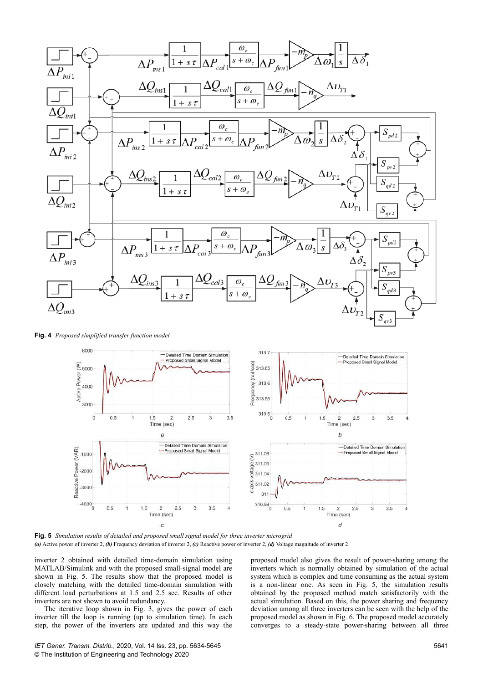

**Fig. 4** *Proposed simplified transfer function model*



**Fig. 5** *Simulation results of detailed and proposed small signal model for three inverter microgrid (a)* Active power of inverter 2, *(b)* Frequency deviation of inverter 2, *(c)* Reactive power of inverter 2, *(d)* Voltage magnitude of inverter 2

inverter 2 obtained with detailed time-domain simulation using MATLAB/Simulink and with the proposed small-signal model are shown in Fig. 5. The results show that the proposed model is closely matching with the detailed time-domain simulation with different load perturbations at 1.5 and 2.5 sec. Results of other inverters are not shown to avoid redundancy.

The iterative loop shown in Fig. 3, gives the power of each inverter till the loop is running (up to simulation time). In each step, the power of the inverters are updated and this way the proposed model also gives the result of power-sharing among the inverters which is normally obtained by simulation of the actual system which is complex and time consuming as the actual system is a non-linear one. As seen in Fig. 5, the simulation results obtained by the proposed method match satisfactorily with the actual simulation. Based on this, the power sharing and frequency deviation among all three inverters can be seen with the help of the proposed model as shown in Fig. 6. The proposed model accurately converges to a steady-state power-sharing between all three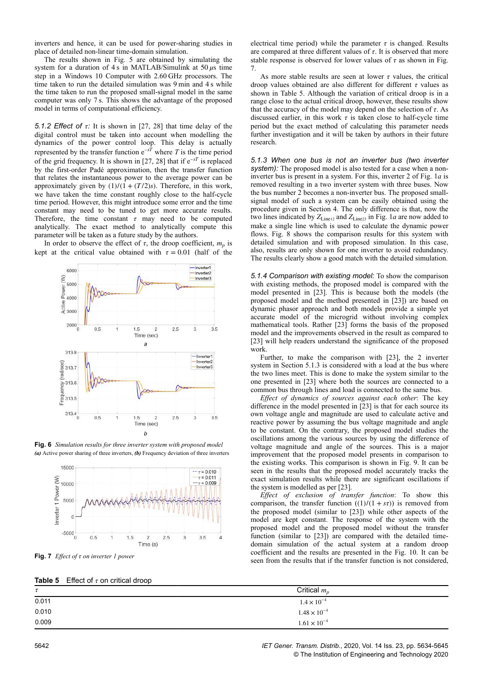inverters and hence, it can be used for power-sharing studies in place of detailed non-linear time-domain simulation.

The results shown in Fig. 5 are obtained by simulating the system for a duration of 4 s in MATLAB/Simulink at 50 *μ*s time step in a Windows 10 Computer with 2.60 GHz processors. The time taken to run the detailed simulation was 9 min and 4 s while the time taken to run the proposed small-signal model in the same computer was only 7 s. This shows the advantage of the proposed model in terms of computational efficiency.

*5.1.2 Effect of τ:* It is shown in [27, 28] that time delay of the digital control must be taken into account when modelling the dynamics of the power control loop. This delay is actually represented by the transfer function  $e^{-sT}$  where *T* is the time period of the grid frequency. It is shown in  $[27, 28]$  that if  $e^{-sT}$  is replaced by the first-order Padé approximation, then the transfer function that relates the instantaneous power to the average power can be approximately given by  $(1)/(1 + (T/2)s)$ . Therefore, in this work, we have taken the time constant roughly close to the half-cycle time period. However, this might introduce some error and the time constant may need to be tuned to get more accurate results. Therefore, the time constant  $\tau$  may need to be computed analytically. The exact method to analytically compute this parameter will be taken as a future study by the authors.

In order to observe the effect of  $\tau$ , the droop coefficient,  $m_p$  is kept at the critical value obtained with  $\tau = 0.01$  (half of the



**Fig. 6** *Simulation results for three inverter system with proposed model (a)* Active power sharing of three inverters, *(b)* Frequency deviation of three inverters



**Fig. 7** *Effect of τ on inverter 1 power*

electrical time period) while the parameter  $\tau$  is changed. Results are compared at three different values of *τ*. It is observed that more stable response is observed for lower values of *τ* as shown in Fig. 7.

As more stable results are seen at lower *τ* values, the critical droop values obtained are also different for different *τ* values as shown in Table 5. Although the variation of critical droop is in a range close to the actual critical droop, however, these results show that the accuracy of the model may depend on the selection of *τ*. As discussed earlier, in this work  $\tau$  is taken close to half-cycle time period but the exact method of calculating this parameter needs further investigation and it will be taken by authors in their future research.

*5.1.3 When one bus is not an inverter bus (two inverter system):* The proposed model is also tested for a case when a noninverter bus is present in a system. For this, inverter 2 of Fig. 1*a* is removed resulting in a two inverter system with three buses. Now the bus number 2 becomes a non-inverter bus. The proposed smallsignal model of such a system can be easily obtained using the procedure given in Section 4. The only difference is that, now the two lines indicated by  $Z_{Line12}$  and  $Z_{Line23}$  in Fig. 1*a* are now added to make a single line which is used to calculate the dynamic power flows. Fig. 8 shows the comparison results for this system with detailed simulation and with proposed simulation. In this case, also, results are only shown for one inverter to avoid redundancy. The results clearly show a good match with the detailed simulation.

*5.1.4 Comparison with existing model:* To show the comparison with existing methods, the proposed model is compared with the model presented in [23]. This is because both the models (the proposed model and the method presented in [23]) are based on dynamic phasor approach and both models provide a simple yet accurate model of the microgrid without involving complex mathematical tools. Rather [23] forms the basis of the proposed model and the improvements observed in the result as compared to [23] will help readers understand the significance of the proposed work.

Further, to make the comparison with [23], the 2 inverter system in Section 5.1.3 is considered with a load at the bus where the two lines meet. This is done to make the system similar to the one presented in [23] where both the sources are connected to a common bus through lines and load is connected to the same bus.

*Effect of dynamics of sources against each other*: The key difference in the model presented in [23] is that for each source its own voltage angle and magnitude are used to calculate active and reactive power by assuming the bus voltage magnitude and angle to be constant. On the contrary, the proposed model studies the oscillations among the various sources by using the difference of voltage magnitude and angle of the sources. This is a major improvement that the proposed model presents in comparison to the existing works. This comparison is shown in Fig. 9. It can be seen in the results that the proposed model accurately tracks the exact simulation results while there are significant oscillations if the system is modelled as per [23].

*Effect of exclusion of transfer function*: To show this comparison, the transfer function  $((1)/(1 + s\tau))$  is removed from the proposed model (similar to [23]) while other aspects of the model are kept constant. The response of the system with the proposed model and the proposed model without the transfer function (similar to [23]) are compared with the detailed timedomain simulation of the actual system at a random droop coefficient and the results are presented in the Fig. 10. It can be seen from the results that if the transfer function is not considered,

|        | <b>Table 5</b> Effect of $\tau$ on critical droop |                       |
|--------|---------------------------------------------------|-----------------------|
| $\tau$ |                                                   | Critical $m_p$        |
| 0.011  |                                                   | $1.4 \times 10^{-4}$  |
| 0.010  |                                                   | $1.48 \times 10^{-4}$ |
| 0.009  |                                                   | $1.61 \times 10^{-4}$ |

5642 *IET Gener. Transm. Distrib.*, 2020, Vol. 14 Iss. 23, pp. 5634-5645 © The Institution of Engineering and Technology 2020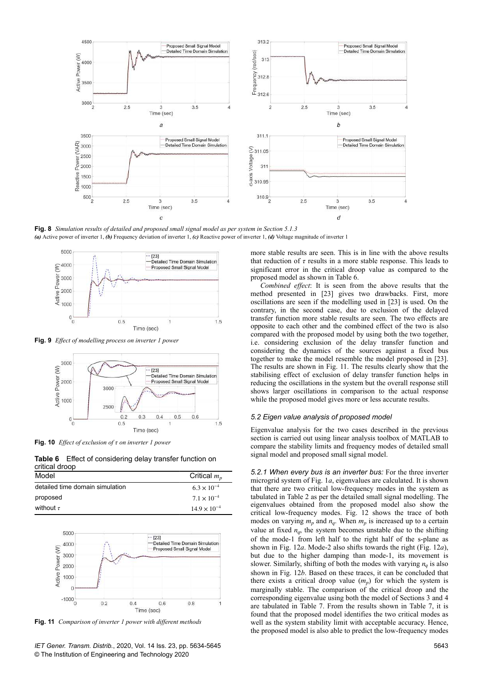

**Fig. 8** *Simulation results of detailed and proposed small signal model as per system in Section 5.1.3 (a)* Active power of inverter 1, *(b)* Frequency deviation of inverter 1, *(c)* Reactive power of inverter 1, *(d)* Voltage magnitude of inverter 1



**Fig. 9** *Effect of modelling process on inverter 1 power*



**Fig. 10** *Effect of exclusion of τ on inverter 1 power*

**Table 6** Effect of considering delay transfer function on critical droop

| Model                           | Critical $m_p$        |
|---------------------------------|-----------------------|
| detailed time domain simulation | $6.3 \times 10^{-4}$  |
| proposed                        | $7.1 \times 10^{-4}$  |
| without $\tau$                  | $14.9 \times 10^{-4}$ |



**Fig. 11** *Comparison of inverter 1 power with different methods*

more stable results are seen. This is in line with the above results that reduction of  $\tau$  results in a more stable response. This leads to significant error in the critical droop value as compared to the proposed model as shown in Table 6.

*Combined effect*: It is seen from the above results that the method presented in [23] gives two drawbacks. First, more oscillations are seen if the modelling used in [23] is used. On the contrary, in the second case, due to exclusion of the delayed transfer function more stable results are seen. The two effects are opposite to each other and the combined effect of the two is also compared with the proposed model by using both the two together, i.e. considering exclusion of the delay transfer function and considering the dynamics of the sources against a fixed bus together to make the model resemble the model proposed in [23]. The results are shown in Fig. 11. The results clearly show that the stabilising effect of exclusion of delay transfer function helps in reducing the oscillations in the system but the overall response still shows larger oscillations in comparison to the actual response while the proposed model gives more or less accurate results.

#### *5.2 Eigen value analysis of proposed model*

Eigenvalue analysis for the two cases described in the previous section is carried out using linear analysis toolbox of MATLAB to compare the stability limits and frequency modes of detailed small signal model and proposed small signal model.

*5.2.1 When every bus is an inverter bus:* For the three inverter microgrid system of Fig. 1*a*, eigenvalues are calculated. It is shown that there are two critical low-frequency modes in the system as tabulated in Table 2 as per the detailed small signal modelling. The eigenvalues obtained from the proposed model also show the critical low-frequency modes. Fig. 12 shows the trace of both modes on varying  $m_p$  and  $n_q$ . When  $m_p$  is increased up to a certain value at fixed  $n_q$ , the system becomes unstable due to the shifting of the mode-1 from left half to the right half of the s-plane as shown in Fig. 12*a*. Mode-2 also shifts towards the right (Fig. 12*a*), but due to the higher damping than mode-1, its movement is slower. Similarly, shifting of both the modes with varying  $n_q$  is also shown in Fig. 12*b*. Based on these traces, it can be concluded that there exists a critical droop value  $(m_p)$  for which the system is marginally stable. The comparison of the critical droop and the corresponding eigenvalue using both the model of Sections 3 and 4 are tabulated in Table 7. From the results shown in Table 7, it is found that the proposed model identifies the two critical modes as well as the system stability limit with acceptable accuracy. Hence, the proposed model is also able to predict the low-frequency modes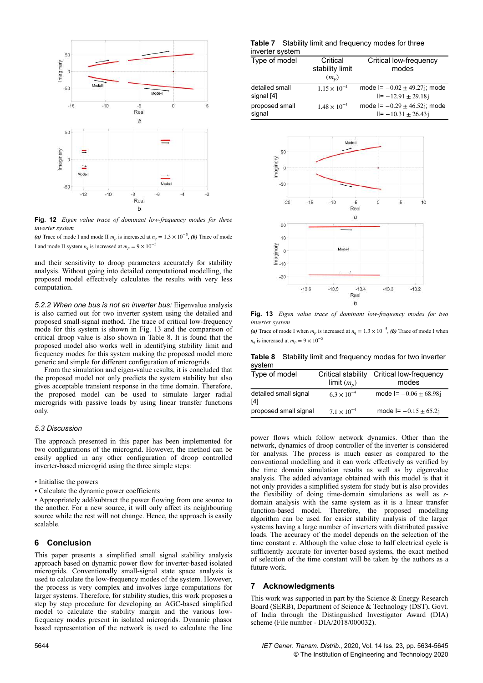

**Fig. 12** *Eigen value trace of dominant low-frequency modes for three inverter system*

(a) Trace of mode I and mode II  $m_p$  is increased at  $n_q = 1.3 \times 10^{-5}$ , (b) Trace of mode I and mode II system  $n_a$  is increased at  $m_p = 9 \times 10^{-5}$ 

and their sensitivity to droop parameters accurately for stability analysis. Without going into detailed computational modelling, the proposed model effectively calculates the results with very less computation.

*5.2.2 When one bus is not an inverter bus:* Eigenvalue analysis is also carried out for two inverter system using the detailed and proposed small-signal method. The trace of critical low-frequency mode for this system is shown in Fig. 13 and the comparison of critical droop value is also shown in Table 8. It is found that the proposed model also works well in identifying stability limit and frequency modes for this system making the proposed model more generic and simple for different configuration of microgrids.

From the simulation and eigen-value results, it is concluded that the proposed model not only predicts the system stability but also gives acceptable transient response in the time domain. Therefore, the proposed model can be used to simulate larger radial microgrids with passive loads by using linear transfer functions only.

#### *5.3 Discussion*

The approach presented in this paper has been implemented for two configurations of the microgrid. However, the method can be easily applied in any other configuration of droop controlled inverter-based microgrid using the three simple steps:

- Initialise the powers
- Calculate the dynamic power coefficients

• Appropriately add/subtract the power flowing from one source to the another. For a new source, it will only affect its neighbouring source while the rest will not change. Hence, the approach is easily scalable.

## **6 Conclusion**

This paper presents a simplified small signal stability analysis approach based on dynamic power flow for inverter-based isolated microgrids. Conventionally small-signal state space analysis is used to calculate the low-frequency modes of the system. However, the process is very complex and involves large computations for larger systems. Therefore, for stability studies, this work proposes a step by step procedure for developing an AGC-based simplified model to calculate the stability margin and the various lowfrequency modes present in isolated microgrids. Dynamic phasor based representation of the network is used to calculate the line

**Table 7** Stability limit and frequency modes for three inverter system

| Type of model                | Critical<br>stability limit<br>$(m_n)$ | Critical low-frequency<br>modes                                |
|------------------------------|----------------------------------------|----------------------------------------------------------------|
| detailed small<br>signal [4] | $1.15 \times 10^{-4}$                  | mode $I = -0.02 \pm 49.27$ j; mode<br>$II = -12.91 \pm 29.18i$ |
| proposed small<br>signal     | $1.48 \times 10^{-4}$                  | mode $I = -0.29 \pm 46.52$ j; mode<br>$II = -10.31 \pm 26.43i$ |



**Fig. 13** *Eigen value trace of dominant low-frequency modes for two inverter system*

(a) Trace of mode I when  $m_p$  is increased at  $n_q = 1.3 \times 10^{-5}$ , (b) Trace of mode I when  $n_q$  is increased at  $m_p = 9 \times 10^{-5}$ 

**Table 8** Stability limit and frequency modes for two inverter system

| Type of model                | Critical stability<br>limit $(m_n)$ | Critical low-frequency<br>modes |
|------------------------------|-------------------------------------|---------------------------------|
| detailed small signal<br>[4] | $6.3 \times 10^{-4}$                | mode $I = -0.06 \pm 68.98$ j    |
| proposed small signal        | $7.1 \times 10^{-4}$                | mode $I = -0.15 \pm 65.2i$      |

power flows which follow network dynamics. Other than the network, dynamics of droop controller of the inverter is considered for analysis. The process is much easier as compared to the conventional modelling and it can work effectively as verified by the time domain simulation results as well as by eigenvalue analysis. The added advantage obtained with this model is that it not only provides a simplified system for study but is also provides the flexibility of doing time-domain simulations as well as *s*domain analysis with the same system as it is a linear transfer function-based model. Therefore, the proposed modelling algorithm can be used for easier stability analysis of the larger systems having a large number of inverters with distributed passive loads. The accuracy of the model depends on the selection of the time constant *τ*. Although the value close to half electrical cycle is sufficiently accurate for inverter-based systems, the exact method of selection of the time constant will be taken by the authors as a future work.

## **7 Acknowledgments**

This work was supported in part by the Science  $\&$  Energy Research Board (SERB), Department of Science & Technology (DST), Govt. of India through the Distinguished Investigator Award (DIA) scheme (File number - DIA/2018/000032).